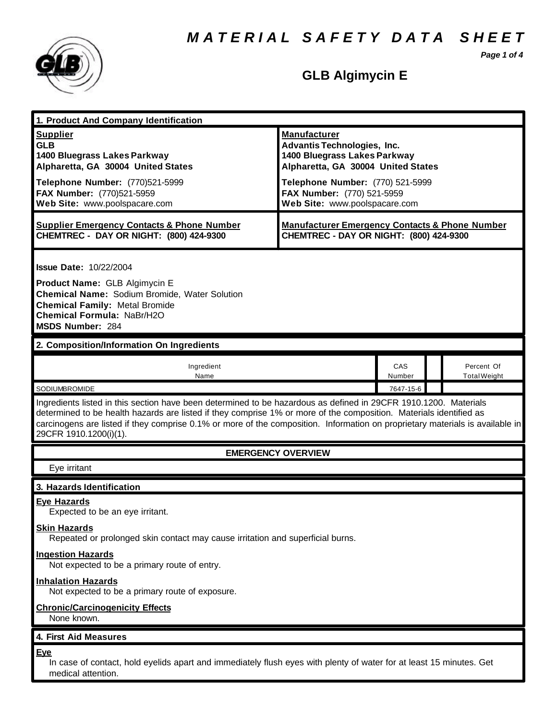*M A T E R I A L S A F E T Y D A T A S H E E T*

*Page 1 of 4*



# **GLB Algimycin E**

| 1. Product And Company Identification                                                                                                                                                                                                                                         |                                                                                                                                                                                                                                    |               |  |                                   |  |
|-------------------------------------------------------------------------------------------------------------------------------------------------------------------------------------------------------------------------------------------------------------------------------|------------------------------------------------------------------------------------------------------------------------------------------------------------------------------------------------------------------------------------|---------------|--|-----------------------------------|--|
| <b>Supplier</b><br><b>GLB</b><br>1400 Bluegrass Lakes Parkway<br>Alpharetta, GA 30004 United States<br>Telephone Number: (770)521-5999<br>FAX Number: (770)521-5959<br>Web Site: www.poolspacare.com                                                                          | <b>Manufacturer</b><br><b>Advantis Technologies, Inc.</b><br>1400 Bluegrass Lakes Parkway<br>Alpharetta, GA 30004 United States<br>Telephone Number: (770) 521-5999<br>FAX Number: (770) 521-5959<br>Web Site: www.poolspacare.com |               |  |                                   |  |
| <b>Supplier Emergency Contacts &amp; Phone Number</b><br>CHEMTREC - DAY OR NIGHT: (800) 424-9300                                                                                                                                                                              | <b>Manufacturer Emergency Contacts &amp; Phone Number</b><br>CHEMTREC - DAY OR NIGHT: (800) 424-9300                                                                                                                               |               |  |                                   |  |
| <b>Issue Date: 10/22/2004</b><br>Product Name: GLB Algimycin E<br><b>Chemical Name: Sodium Bromide, Water Solution</b><br><b>Chemical Family: Metal Bromide</b><br>Chemical Formula: NaBr/H2O<br><b>MSDS Number: 284</b>                                                      |                                                                                                                                                                                                                                    |               |  |                                   |  |
| 2. Composition/Information On Ingredients                                                                                                                                                                                                                                     |                                                                                                                                                                                                                                    |               |  |                                   |  |
| Ingredient<br>Name                                                                                                                                                                                                                                                            |                                                                                                                                                                                                                                    | CAS<br>Number |  | Percent Of<br><b>Total Weight</b> |  |
| SODIUMBROMIDE<br>7647-15-6<br>Ingredients listed in this section have been determined to be hazardous as defined in 29CFR 1910.1200. Materials                                                                                                                                |                                                                                                                                                                                                                                    |               |  |                                   |  |
| determined to be health hazards are listed if they comprise 1% or more of the composition. Materials identified as<br>carcinogens are listed if they comprise 0.1% or more of the composition. Information on proprietary materials is available in<br>29CFR 1910.1200(i)(1). |                                                                                                                                                                                                                                    |               |  |                                   |  |
| <b>EMERGENCY OVERVIEW</b>                                                                                                                                                                                                                                                     |                                                                                                                                                                                                                                    |               |  |                                   |  |
| Eye irritant                                                                                                                                                                                                                                                                  |                                                                                                                                                                                                                                    |               |  |                                   |  |
| 3. Hazards Identification                                                                                                                                                                                                                                                     |                                                                                                                                                                                                                                    |               |  |                                   |  |
| <b>Eye Hazards</b><br>Expected to be an eye irritant.                                                                                                                                                                                                                         |                                                                                                                                                                                                                                    |               |  |                                   |  |
| <b>Skin Hazards</b><br>Repeated or prolonged skin contact may cause irritation and superficial burns.                                                                                                                                                                         |                                                                                                                                                                                                                                    |               |  |                                   |  |
| <b>Ingestion Hazards</b><br>Not expected to be a primary route of entry.                                                                                                                                                                                                      |                                                                                                                                                                                                                                    |               |  |                                   |  |
| <b>Inhalation Hazards</b><br>Not expected to be a primary route of exposure.                                                                                                                                                                                                  |                                                                                                                                                                                                                                    |               |  |                                   |  |
| <b>Chronic/Carcinogenicity Effects</b><br>None known.                                                                                                                                                                                                                         |                                                                                                                                                                                                                                    |               |  |                                   |  |
| 4. First Aid Measures                                                                                                                                                                                                                                                         |                                                                                                                                                                                                                                    |               |  |                                   |  |
| <u>Eye</u><br>In case of contact, hold eyelids apart and immediately flush eyes with plenty of water for at least 15 minutes. Get<br>medical attention.                                                                                                                       |                                                                                                                                                                                                                                    |               |  |                                   |  |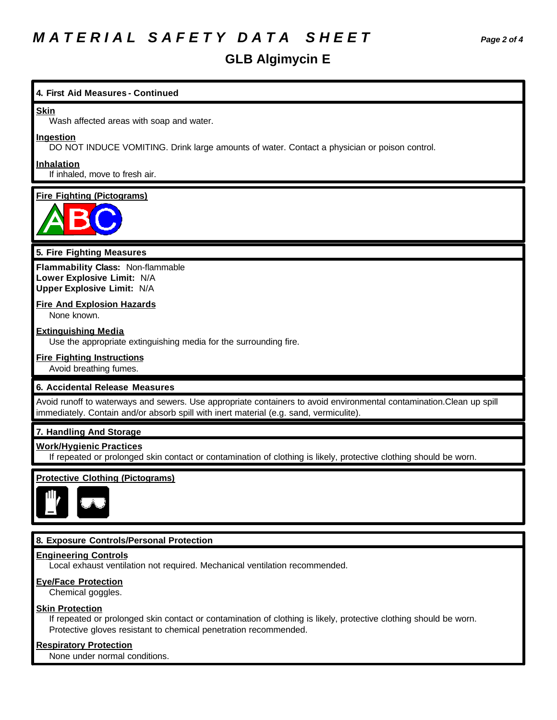# *M A T E R I A L S A F E T Y D A T A S H E E T Page 2 of 4*

# **GLB Algimycin E**

## **4. First Aid Measures - Continued**

#### **Skin**

Wash affected areas with soap and water.

#### **Ingestion**

DO NOT INDUCE VOMITING. Drink large amounts of water. Contact a physician or poison control.

#### **Inhalation**

If inhaled, move to fresh air.

#### **Fire Fighting (Pictograms)**



## **5. Fire Fighting Measures**

**Flammability Class:** Non-flammable **Lower Explosive Limit:** N/A **Upper Explosive Limit:** N/A

## **Fire And Explosion Hazards**

None known.

### **Extinguishing Media**

Use the appropriate extinguishing media for the surrounding fire.

#### **Fire Fighting Instructions**

Avoid breathing fumes.

# **6. Accidental Release Measures**

Avoid runoff to waterways and sewers. Use appropriate containers to avoid environmental contamination.Clean up spill immediately. Contain and/or absorb spill with inert material (e.g. sand, vermiculite).

#### **7. Handling And Storage**

## **Work/Hygienic Practices**

If repeated or prolonged skin contact or contamination of clothing is likely, protective clothing should be worn.

### **Protective Clothing (Pictograms)**



### **8. Exposure Controls/Personal Protection**

#### **Engineering Controls**

Local exhaust ventilation not required. Mechanical ventilation recommended.

#### **Eye/Face Protection**

Chemical goggles.

#### **Skin Protection**

If repeated or prolonged skin contact or contamination of clothing is likely, protective clothing should be worn. Protective gloves resistant to chemical penetration recommended.

#### **Respiratory Protection**

None under normal conditions.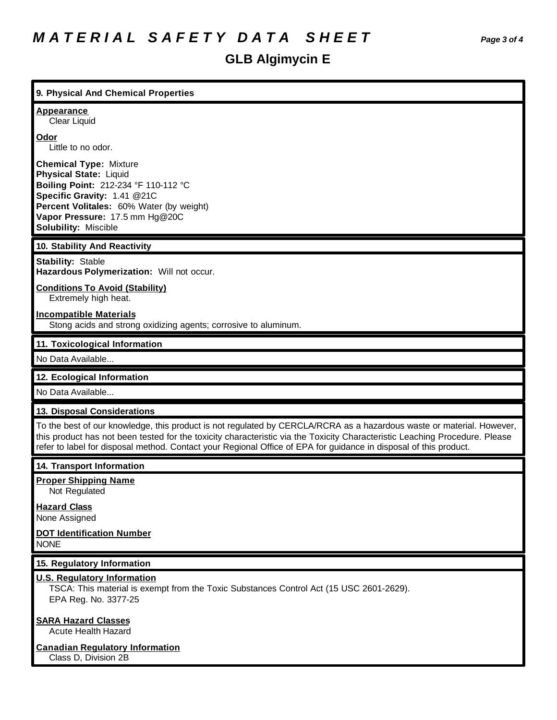# **GLB Algimycin E**

| 9. Physical And Chemical Properties                                                                                                                                                                                                                                                                                                                                       |
|---------------------------------------------------------------------------------------------------------------------------------------------------------------------------------------------------------------------------------------------------------------------------------------------------------------------------------------------------------------------------|
| <b>Appearance</b><br>Clear Liquid                                                                                                                                                                                                                                                                                                                                         |
| Odor<br>Little to no odor.                                                                                                                                                                                                                                                                                                                                                |
| <b>Chemical Type: Mixture</b><br><b>Physical State: Liquid</b><br>Boiling Point: 212-234 °F 110-112 °C<br>Specific Gravity: 1.41 @21C<br>Percent Volitales: 60% Water (by weight)<br>Vapor Pressure: 17.5 mm Hg@20C<br><b>Solubility: Miscible</b>                                                                                                                        |
| 10. Stability And Reactivity                                                                                                                                                                                                                                                                                                                                              |
| <b>Stability: Stable</b><br>Hazardous Polymerization: Will not occur.                                                                                                                                                                                                                                                                                                     |
| <b>Conditions To Avoid (Stability)</b><br>Extremely high heat.                                                                                                                                                                                                                                                                                                            |
| <b>Incompatible Materials</b><br>Stong acids and strong oxidizing agents; corrosive to aluminum.                                                                                                                                                                                                                                                                          |
| 11. Toxicological Information                                                                                                                                                                                                                                                                                                                                             |
| No Data Available                                                                                                                                                                                                                                                                                                                                                         |
| 12. Ecological Information                                                                                                                                                                                                                                                                                                                                                |
| No Data Available                                                                                                                                                                                                                                                                                                                                                         |
| 13. Disposal Considerations                                                                                                                                                                                                                                                                                                                                               |
| To the best of our knowledge, this product is not regulated by CERCLA/RCRA as a hazardous waste or material. However,<br>this product has not been tested for the toxicity characteristic via the Toxicity Characteristic Leaching Procedure. Please<br>refer to label for disposal method. Contact your Regional Office of EPA for guidance in disposal of this product. |
| 14. Transport Information                                                                                                                                                                                                                                                                                                                                                 |
| <b>Proper Shipping Name</b><br>Not Regulated                                                                                                                                                                                                                                                                                                                              |
| <b>Hazard Class</b><br>None Assigned                                                                                                                                                                                                                                                                                                                                      |
| <b>DOT Identification Number</b><br><b>NONE</b>                                                                                                                                                                                                                                                                                                                           |
| 15. Regulatory Information                                                                                                                                                                                                                                                                                                                                                |
| <b>U.S. Regulatory Information</b><br>TSCA: This material is exempt from the Toxic Substances Control Act (15 USC 2601-2629).<br>EPA Reg. No. 3377-25                                                                                                                                                                                                                     |

# **SARA Hazard Classes**

Acute Health Hazard

# **Canadian Regulatory Information**

Class D, Division 2B